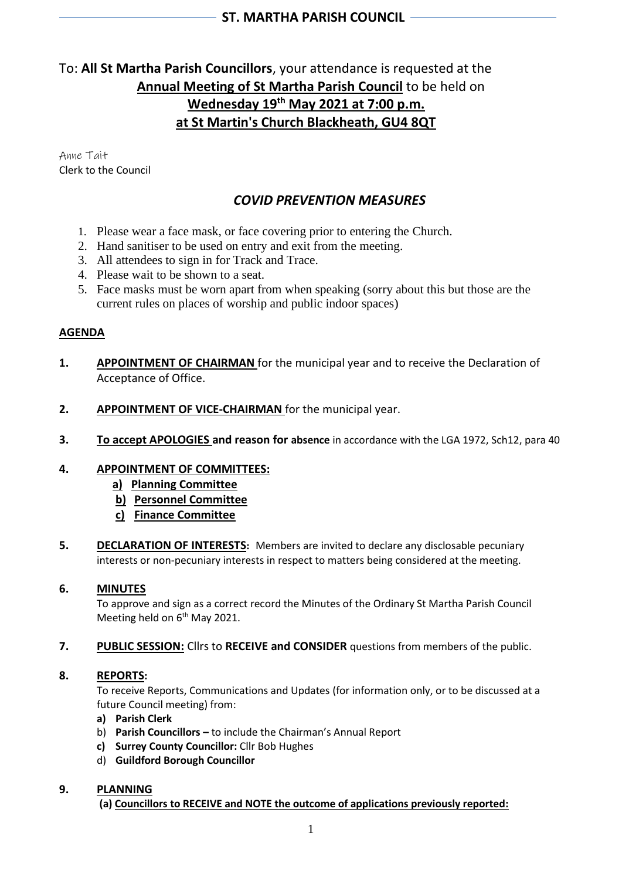# To: **All St Martha Parish Councillors**, your attendance is requested at the **Annual Meeting of St Martha Parish Council** to be held on **Wednesday 19 th May 2021 at 7:00 p.m. at St Martin's Church Blackheath, GU4 8QT**

Anne Tait Clerk to the Council

# *COVID PREVENTION MEASURES*

- 1. Please wear a face mask, or face covering prior to entering the Church.
- 2. Hand sanitiser to be used on entry and exit from the meeting.
- 3. All attendees to sign in for Track and Trace.
- 4. Please wait to be shown to a seat.
- 5. Face masks must be worn apart from when speaking (sorry about this but those are the current rules on places of worship and public indoor spaces)

### **AGENDA**

- **1. APPOINTMENT OF CHAIRMAN** for the municipal year and to receive the Declaration of Acceptance of Office.
- **2. APPOINTMENT OF VICE-CHAIRMAN** for the municipal year.
- **3. To accept APOLOGIES and reason for absence** in accordance with the LGA 1972, Sch12, para 40

### **4. APPOINTMENT OF COMMITTEES:**

- **a) Planning Committee**
- **b) Personnel Committee**
- **c) Finance Committee**
- **5. DECLARATION OF INTERESTS:** Members are invited to declare any disclosable pecuniary interests or non-pecuniary interests in respect to matters being considered at the meeting.

#### **6. MINUTES**

To approve and sign as a correct record the Minutes of the Ordinary St Martha Parish Council Meeting held on 6<sup>th</sup> May 2021.

#### **7. PUBLIC SESSION:** Cllrs to **RECEIVE and CONSIDER** questions from members of the public.

#### **8. REPORTS:**

To receive Reports, Communications and Updates (for information only, or to be discussed at a future Council meeting) from:

- **a) Parish Clerk**
- b) **Parish Councillors –** to include the Chairman's Annual Report
- **c) Surrey County Councillor:** Cllr Bob Hughes
- d) **Guildford Borough Councillor**

### **9. PLANNING**

**(a) Councillors to RECEIVE and NOTE the outcome of applications previously reported:**